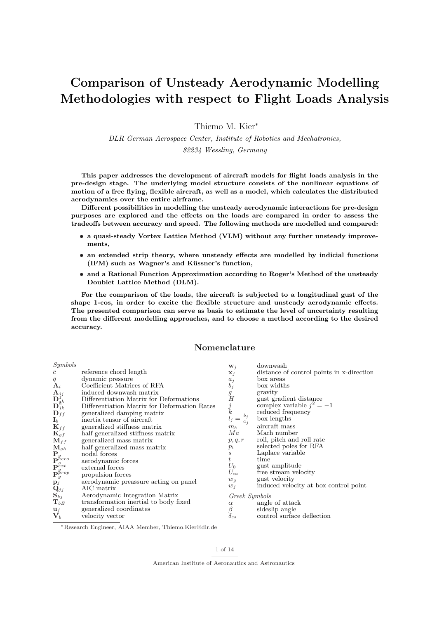# Comparison of Unsteady Aerodynamic Modelling Methodologies with respect to Flight Loads Analysis

Thiemo M. Kier<sup>\*</sup>

DLR German Aerospace Center, Institute of Robotics and Mechatronics, 82234 Wessling, Germany

This paper addresses the development of aircraft models for flight loads analysis in the pre-design stage. The underlying model structure consists of the nonlinear equations of motion of a free flying, flexible aircraft, as well as a model, which calculates the distributed aerodynamics over the entire airframe.

Different possibilities in modelling the unsteady aerodynamic interactions for pre-design purposes are explored and the effects on the loads are compared in order to assess the tradeoffs between accuracy and speed. The following methods are modelled and compared:

- a quasi-steady Vortex Lattice Method (VLM) without any further unsteady improvements,
- an extended strip theory, where unsteady effects are modelled by indicial functions  $(IFM)$  such as Wagner's and Küssner's function,
- and a Rational Function Approximation according to Roger's Method of the unsteady Doublet Lattice Method (DLM).

For the comparison of the loads, the aircraft is subjected to a longitudinal gust of the shape 1-cos, in order to excite the flexible structure and unsteady aerodynamic effects. The presented comparison can serve as basis to estimate the level of uncertainty resulting from the different modelling approaches, and to choose a method according to the desired accuracy.

# Nomenclature

| reference chord length<br>$\bar{c}$<br>$\mathbf{x}_j$<br>$\bar{\mathcal{q}}$ $\mathbf{A}_i$<br>dynamic pressure<br>box areas<br>$a_i$<br>Coefficient Matrices of RFA<br>box widths<br>$b_i$<br>${\bf A}_{jj}$<br>induced downwash matrix<br>gravity<br>$\boldsymbol{g}$<br>$\mathbf{D}^{1'}_{jk} \mathbf{D}^{2}_{jk} \ \mathbf{D}^{2}_{fk}$<br>H<br>gust gradient distance<br>Differentiation Matrix for Deformations<br>complex variable $j^2 = -1$<br>Differentiation Matrix for Deformation Rates<br>$\boldsymbol{k}$<br>reduced frequency<br>generalized damping matrix<br>$=\frac{b_j}{a_j}$<br>box lengths<br>$\mathbf{I}_b$<br>inertia tensor of aircraft<br>aircraft mass<br>$\mathbf{K}_{ff}$<br>generalized stiffness matrix<br>m <sub>b</sub><br>Ma<br>Mach number<br>$\mathbf{K}_{gf}$<br>half generalized stiffness matrix<br>roll, pitch and roll rate<br>$\mathbf{M}_{ff}$<br>generalized mass matrix<br>p, q, r<br>selected poles for RFA<br>$\mathbf{M}_{gh}$<br>half generalized mass matrix<br>$p_i$<br>Laplace variable<br>$\frac{\mathbf{p}^{s}_{g}}{\mathbf{p}^{a}_{gxt}}\ \mathbf{p}^{g}_{grt}}{\mathbf{p}^{b}_{g}r}$<br>$\mathcal{S}$<br>nodal forces<br>time<br>aerodynamic forces<br>$U_0$<br>gust amplitude<br>external forces<br>$U_{\infty}$<br>free stream velocity<br>propulsion forces<br>gust velocity<br>$w_q$<br>aerodynamic preassure acting on panel<br>$\overset{\mathbf{p}_j}{\mathbf{Q}}_{\hspace{-1pt}j j} \ \overset{\mathbf{p}}{\mathbf{S}}_{\hspace{-1pt}k j}$<br>induced velocity at box control point<br>$w_j$<br>AIC matrix<br>Aerodynamic Integration Matrix<br>Greek Symbols<br>$\mathrm{T}_{bE}$<br>transformation inertial to body fixed<br>angle of attack<br>$\alpha$<br>generalized coordinates<br>sideslip angle<br>$\frac{\beta}{\delta_{cs}}$<br>$\mathbf{u}_f$<br>$\mathbf{V}_b$<br>control surface deflection<br>velocity vector | Symbols | $\mathbf{w}_j$ | downwash                                  |
|---------------------------------------------------------------------------------------------------------------------------------------------------------------------------------------------------------------------------------------------------------------------------------------------------------------------------------------------------------------------------------------------------------------------------------------------------------------------------------------------------------------------------------------------------------------------------------------------------------------------------------------------------------------------------------------------------------------------------------------------------------------------------------------------------------------------------------------------------------------------------------------------------------------------------------------------------------------------------------------------------------------------------------------------------------------------------------------------------------------------------------------------------------------------------------------------------------------------------------------------------------------------------------------------------------------------------------------------------------------------------------------------------------------------------------------------------------------------------------------------------------------------------------------------------------------------------------------------------------------------------------------------------------------------------------------------------------------------------------------------------------------------------------------------------------------------------------------------------------------------------------------------|---------|----------------|-------------------------------------------|
|                                                                                                                                                                                                                                                                                                                                                                                                                                                                                                                                                                                                                                                                                                                                                                                                                                                                                                                                                                                                                                                                                                                                                                                                                                                                                                                                                                                                                                                                                                                                                                                                                                                                                                                                                                                                                                                                                             |         |                | distance of control points in x-direction |
|                                                                                                                                                                                                                                                                                                                                                                                                                                                                                                                                                                                                                                                                                                                                                                                                                                                                                                                                                                                                                                                                                                                                                                                                                                                                                                                                                                                                                                                                                                                                                                                                                                                                                                                                                                                                                                                                                             |         |                |                                           |
|                                                                                                                                                                                                                                                                                                                                                                                                                                                                                                                                                                                                                                                                                                                                                                                                                                                                                                                                                                                                                                                                                                                                                                                                                                                                                                                                                                                                                                                                                                                                                                                                                                                                                                                                                                                                                                                                                             |         |                |                                           |
|                                                                                                                                                                                                                                                                                                                                                                                                                                                                                                                                                                                                                                                                                                                                                                                                                                                                                                                                                                                                                                                                                                                                                                                                                                                                                                                                                                                                                                                                                                                                                                                                                                                                                                                                                                                                                                                                                             |         |                |                                           |
|                                                                                                                                                                                                                                                                                                                                                                                                                                                                                                                                                                                                                                                                                                                                                                                                                                                                                                                                                                                                                                                                                                                                                                                                                                                                                                                                                                                                                                                                                                                                                                                                                                                                                                                                                                                                                                                                                             |         |                |                                           |
|                                                                                                                                                                                                                                                                                                                                                                                                                                                                                                                                                                                                                                                                                                                                                                                                                                                                                                                                                                                                                                                                                                                                                                                                                                                                                                                                                                                                                                                                                                                                                                                                                                                                                                                                                                                                                                                                                             |         |                |                                           |
|                                                                                                                                                                                                                                                                                                                                                                                                                                                                                                                                                                                                                                                                                                                                                                                                                                                                                                                                                                                                                                                                                                                                                                                                                                                                                                                                                                                                                                                                                                                                                                                                                                                                                                                                                                                                                                                                                             |         |                |                                           |
|                                                                                                                                                                                                                                                                                                                                                                                                                                                                                                                                                                                                                                                                                                                                                                                                                                                                                                                                                                                                                                                                                                                                                                                                                                                                                                                                                                                                                                                                                                                                                                                                                                                                                                                                                                                                                                                                                             |         |                |                                           |
|                                                                                                                                                                                                                                                                                                                                                                                                                                                                                                                                                                                                                                                                                                                                                                                                                                                                                                                                                                                                                                                                                                                                                                                                                                                                                                                                                                                                                                                                                                                                                                                                                                                                                                                                                                                                                                                                                             |         |                |                                           |
|                                                                                                                                                                                                                                                                                                                                                                                                                                                                                                                                                                                                                                                                                                                                                                                                                                                                                                                                                                                                                                                                                                                                                                                                                                                                                                                                                                                                                                                                                                                                                                                                                                                                                                                                                                                                                                                                                             |         |                |                                           |
|                                                                                                                                                                                                                                                                                                                                                                                                                                                                                                                                                                                                                                                                                                                                                                                                                                                                                                                                                                                                                                                                                                                                                                                                                                                                                                                                                                                                                                                                                                                                                                                                                                                                                                                                                                                                                                                                                             |         |                |                                           |
|                                                                                                                                                                                                                                                                                                                                                                                                                                                                                                                                                                                                                                                                                                                                                                                                                                                                                                                                                                                                                                                                                                                                                                                                                                                                                                                                                                                                                                                                                                                                                                                                                                                                                                                                                                                                                                                                                             |         |                |                                           |
|                                                                                                                                                                                                                                                                                                                                                                                                                                                                                                                                                                                                                                                                                                                                                                                                                                                                                                                                                                                                                                                                                                                                                                                                                                                                                                                                                                                                                                                                                                                                                                                                                                                                                                                                                                                                                                                                                             |         |                |                                           |
|                                                                                                                                                                                                                                                                                                                                                                                                                                                                                                                                                                                                                                                                                                                                                                                                                                                                                                                                                                                                                                                                                                                                                                                                                                                                                                                                                                                                                                                                                                                                                                                                                                                                                                                                                                                                                                                                                             |         |                |                                           |
|                                                                                                                                                                                                                                                                                                                                                                                                                                                                                                                                                                                                                                                                                                                                                                                                                                                                                                                                                                                                                                                                                                                                                                                                                                                                                                                                                                                                                                                                                                                                                                                                                                                                                                                                                                                                                                                                                             |         |                |                                           |
|                                                                                                                                                                                                                                                                                                                                                                                                                                                                                                                                                                                                                                                                                                                                                                                                                                                                                                                                                                                                                                                                                                                                                                                                                                                                                                                                                                                                                                                                                                                                                                                                                                                                                                                                                                                                                                                                                             |         |                |                                           |
|                                                                                                                                                                                                                                                                                                                                                                                                                                                                                                                                                                                                                                                                                                                                                                                                                                                                                                                                                                                                                                                                                                                                                                                                                                                                                                                                                                                                                                                                                                                                                                                                                                                                                                                                                                                                                                                                                             |         |                |                                           |
|                                                                                                                                                                                                                                                                                                                                                                                                                                                                                                                                                                                                                                                                                                                                                                                                                                                                                                                                                                                                                                                                                                                                                                                                                                                                                                                                                                                                                                                                                                                                                                                                                                                                                                                                                                                                                                                                                             |         |                |                                           |
|                                                                                                                                                                                                                                                                                                                                                                                                                                                                                                                                                                                                                                                                                                                                                                                                                                                                                                                                                                                                                                                                                                                                                                                                                                                                                                                                                                                                                                                                                                                                                                                                                                                                                                                                                                                                                                                                                             |         |                |                                           |
|                                                                                                                                                                                                                                                                                                                                                                                                                                                                                                                                                                                                                                                                                                                                                                                                                                                                                                                                                                                                                                                                                                                                                                                                                                                                                                                                                                                                                                                                                                                                                                                                                                                                                                                                                                                                                                                                                             |         |                |                                           |
|                                                                                                                                                                                                                                                                                                                                                                                                                                                                                                                                                                                                                                                                                                                                                                                                                                                                                                                                                                                                                                                                                                                                                                                                                                                                                                                                                                                                                                                                                                                                                                                                                                                                                                                                                                                                                                                                                             |         |                |                                           |
|                                                                                                                                                                                                                                                                                                                                                                                                                                                                                                                                                                                                                                                                                                                                                                                                                                                                                                                                                                                                                                                                                                                                                                                                                                                                                                                                                                                                                                                                                                                                                                                                                                                                                                                                                                                                                                                                                             |         |                |                                           |

<sup>∗</sup>Research Engineer, AIAA Member, Thiemo.Kier@dlr.de

#### 1 of 14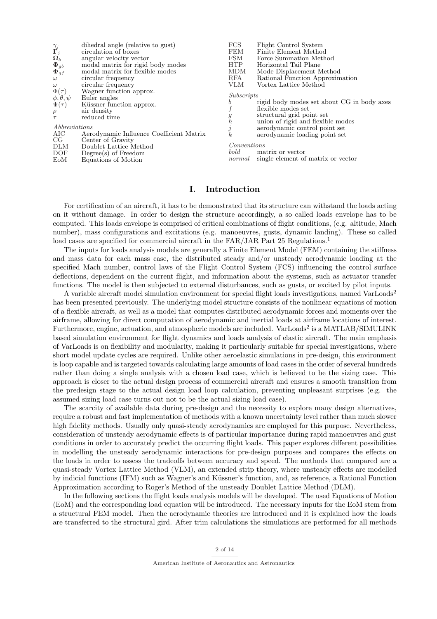|                                           | dihedral angle (relative to gust)        |
|-------------------------------------------|------------------------------------------|
|                                           | circulation of boxes                     |
| $\overset{\gamma_j}{\Gamma_j} \ \Omega_b$ | angular velocity vector                  |
| $\mathbf{\Phi}_{gb}$                      | modal matrix for rigid body modes        |
| $\mathbf{\Phi}_{gf}$                      | modal matrix for flexible modes          |
| $\omega$                                  | circular frequency                       |
| $\omega$                                  | circular frequency                       |
| $\Phi(\tau)$                              | Wagner function approx.                  |
| $\phi, \theta, \psi$<br>$\Psi(\tau)$      | Euler angles                             |
|                                           | Küssner function approx.                 |
| $\rho$                                    | air density                              |
| $\tau$                                    | reduced time                             |
| Abbreviations                             |                                          |
| AIC                                       | Aerodynamic Influence Coefficient Matrix |
| CG                                        | Center of Gravity                        |
| <b>DLM</b>                                | Doublet Lattice Method                   |
| DOF                                       | $Degree(s)$ of Freedom                   |
| EoM                                       | Equations of Motion                      |

| FCS                                             | Flight Control System                      |
|-------------------------------------------------|--------------------------------------------|
| FEM                                             | Finite Element Method                      |
| FSM                                             | Force Summation Method                     |
| <b>HTP</b>                                      | Horizontal Tail Plane                      |
| MDM                                             | Mode Displacement Method                   |
| RFA                                             | Rational Function Approximation            |
| VLM                                             | Vortex Lattice Method                      |
| Subscripts                                      |                                            |
| b                                               | rigid body modes set about CG in body axes |
|                                                 | flexible modes set                         |
|                                                 | structural grid point set                  |
| $\begin{array}{c} g \\ h \\ j \\ k \end{array}$ | union of rigid and flexible modes          |
|                                                 | aerodynamic control point set              |
|                                                 | aerodynamic loading point set              |
| Conventions                                     |                                            |

bold matrix or vector<br>normal single element of single element of matrix or vector

# I. Introduction

For certification of an aircraft, it has to be demonstrated that its structure can withstand the loads acting on it without damage. In order to design the structure accordingly, a so called loads envelope has to be computed. This loads envelope is comprised of critical combinations of flight conditions, (e.g. altitude, Mach number), mass configurations and excitations (e.g. manoeuvres, gusts, dynamic landing). These so called load cases are specified for commercial aircraft in the FAR/JAR Part 25 Regulations.<sup>1</sup>

The inputs for loads analysis models are generally a Finite Element Model (FEM) containing the stiffness and mass data for each mass case, the distributed steady and/or unsteady aerodynamic loading at the specified Mach number, control laws of the Flight Control System (FCS) influencing the control surface deflections, dependent on the current flight, and information about the systems, such as actuator transfer functions. The model is then subjected to external disturbances, such as gusts, or excited by pilot inputs.

A variable aircraft model simulation environment for special flight loads investigations, named VarLoads<sup>2</sup> has been presented previously. The underlying model structure consists of the nonlinear equations of motion of a flexible aircraft, as well as a model that computes distributed aerodynamic forces and moments over the airframe, allowing for direct computation of aerodynamic and inertial loads at airframe locations of interest. Furthermore, engine, actuation, and atmospheric models are included. VarLoads<sup>2</sup> is a MATLAB/SIMULINK based simulation environment for flight dynamics and loads analysis of elastic aircraft. The main emphasis of VarLoads is on flexibility and modularity, making it particularly suitable for special investigations, where short model update cycles are required. Unlike other aeroelastic simulations in pre-design, this environment is loop capable and is targeted towards calculating large amounts of load cases in the order of several hundreds rather than doing a single analysis with a chosen load case, which is believed to be the sizing case. This approach is closer to the actual design process of commercial aircraft and ensures a smooth transition from the predesign stage to the actual design load loop calculation, preventing unpleasant surprises (e.g. the assumed sizing load case turns out not to be the actual sizing load case).

The scarcity of available data during pre-design and the necessity to explore many design alternatives, require a robust and fast implementation of methods with a known uncertainty level rather than much slower high fidelity methods. Usually only quasi-steady aerodynamics are employed for this purpose. Nevertheless, consideration of unsteady aerodynamic effects is of particular importance during rapid manoeuvres and gust conditions in order to accurately predict the occurring flight loads. This paper explores different possibilities in modelling the unsteady aerodynamic interactions for pre-design purposes and compares the effects on the loads in order to assess the tradeoffs between accuracy and speed. The methods that compared are a quasi-steady Vortex Lattice Method (VLM), an extended strip theory, where unsteady effects are modelled by indicial functions (IFM) such as Wagner's and Küssner's function, and, as reference, a Rational Function Approximation according to Roger's Method of the unsteady Doublet Lattice Method (DLM).

In the following sections the flight loads analysis models will be developed. The used Equations of Motion (EoM) and the corresponding load equation will be introduced. The necessary inputs for the EoM stem from a structural FEM model. Then the aerodynamic theories are introduced and it is explained how the loads are transferred to the structural gird. After trim calculations the simulations are performed for all methods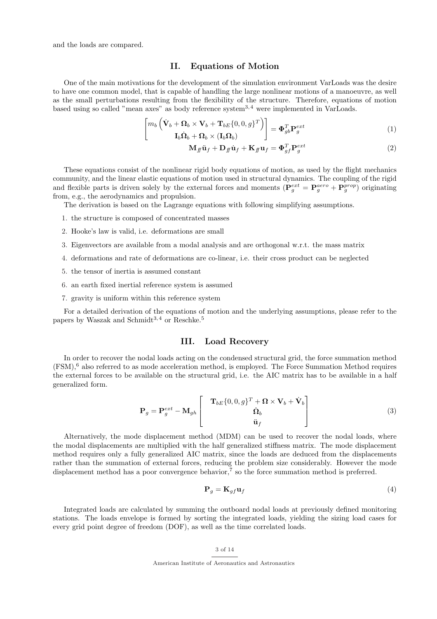and the loads are compared.

# II. Equations of Motion

One of the main motivations for the development of the simulation environment VarLoads was the desire to have one common model, that is capable of handling the large nonlinear motions of a manoeuvre, as well as the small perturbations resulting from the flexibility of the structure. Therefore, equations of motion based using so called "mean axes" as body reference system<sup>3,4</sup> were implemented in VarLoads.

$$
\begin{bmatrix} m_b \left( \dot{\mathbf{V}}_b + \mathbf{\Omega}_b \times \mathbf{V}_b + \mathbf{T}_{bE} \{0, 0, g\}^T \right) \\ \mathbf{I}_b \dot{\mathbf{\Omega}}_b + \mathbf{\Omega}_b \times (\mathbf{I}_b \mathbf{\Omega}_b) \end{bmatrix} = \mathbf{\Phi}_{gb}^T \mathbf{P}_g^{ext}
$$
(1)

$$
\mathbf{M}_{f} \ddot{\mathbf{u}}_{f} + \mathbf{D}_{f} \dot{\mathbf{u}}_{f} + \mathbf{K}_{f} \mathbf{u}_{f} = \mathbf{\Phi}_{gf}^{T} \mathbf{P}_{g}^{ext}
$$
\n(2)

These equations consist of the nonlinear rigid body equations of motion, as used by the flight mechanics community, and the linear elastic equations of motion used in structural dynamics. The coupling of the rigid and flexible parts is driven solely by the external forces and moments ( $\mathbf{P}_g^{ext} = \mathbf{P}_g^{aero} + \mathbf{P}_g^{prop}$ ) originating from, e.g., the aerodynamics and propulsion.

The derivation is based on the Lagrange equations with following simplifying assumptions.

- 1. the structure is composed of concentrated masses
- 2. Hooke's law is valid, i.e. deformations are small
- 3. Eigenvectors are available from a modal analysis and are orthogonal w.r.t. the mass matrix
- 4. deformations and rate of deformations are co-linear, i.e. their cross product can be neglected
- 5. the tensor of inertia is assumed constant
- 6. an earth fixed inertial reference system is assumed
- 7. gravity is uniform within this reference system

For a detailed derivation of the equations of motion and the underlying assumptions, please refer to the papers by Waszak and Schmidt<sup>3,4</sup> or Reschke.<sup>5</sup>

### III. Load Recovery

In order to recover the nodal loads acting on the condensed structural grid, the force summation method  $(FSM)$ ,  $\epsilon$  also referred to as mode acceleration method, is employed. The Force Summation Method requires the external forces to be available on the structural grid, i.e. the AIC matrix has to be available in a half generalized form.

$$
\mathbf{P}_g = \mathbf{P}_g^{ext} - \mathbf{M}_{gh} \begin{bmatrix} \mathbf{T}_{bE} \{0, 0, g\}^T + \mathbf{\Omega} \times \mathbf{V}_b + \dot{\mathbf{V}}_b \\ \dot{\mathbf{\Omega}}_b \\ \ddot{\mathbf{u}}_f \end{bmatrix}
$$
(3)

Alternatively, the mode displacement method (MDM) can be used to recover the nodal loads, where the modal displacements are multiplied with the half generalized stiffness matrix. The mode displacement method requires only a fully generalized AIC matrix, since the loads are deduced from the displacements rather than the summation of external forces, reducing the problem size considerably. However the mode displacement method has a poor convergence behavior,<sup>7</sup> so the force summation method is preferred.

$$
\mathbf{P}_g = \mathbf{K}_{gf} \mathbf{u}_f \tag{4}
$$

Integrated loads are calculated by summing the outboard nodal loads at previously defined monitoring stations. The loads envelope is formed by sorting the integrated loads, yielding the sizing load cases for every grid point degree of freedom (DOF), as well as the time correlated loads.

#### 3 of 14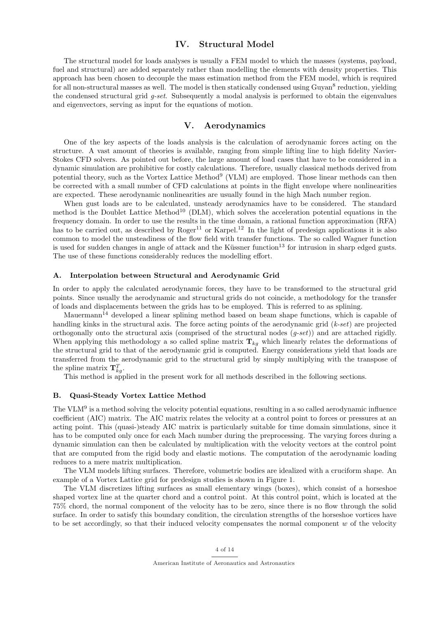# IV. Structural Model

The structural model for loads analyses is usually a FEM model to which the masses (systems, payload, fuel and structural) are added separately rather than modelling the elements with density properties. This approach has been chosen to decouple the mass estimation method from the FEM model, which is required for all non-structural masses as well. The model is then statically condensed using Guyan<sup>8</sup> reduction, yielding the condensed structural grid  $q\text{-}set$ . Subsequently a modal analysis is performed to obtain the eigenvalues and eigenvectors, serving as input for the equations of motion.

# V. Aerodynamics

One of the key aspects of the loads analysis is the calculation of aerodynamic forces acting on the structure. A vast amount of theories is available, ranging from simple lifting line to high fidelity Navier-Stokes CFD solvers. As pointed out before, the large amount of load cases that have to be considered in a dynamic simulation are prohibitive for costly calculations. Therefore, usually classical methods derived from potential theory, such as the Vortex Lattice Method<sup>9</sup> (VLM) are employed. Those linear methods can then be corrected with a small number of CFD calculations at points in the flight envelope where nonlinearities are expected. These aerodynamic nonlinearities are usually found in the high Mach number region.

When gust loads are to be calculated, unsteady aerodynamics have to be considered. The standard method is the Doublet Lattice Method<sup>10</sup> (DLM), which solves the acceleration potential equations in the frequency domain. In order to use the results in the time domain, a rational function approximation (RFA) has to be carried out, as described by  $Roger^{11}$  or Karpel.<sup>12</sup> In the light of predesign applications it is also common to model the unsteadiness of the flow field with transfer functions. The so called Wagner function is used for sudden changes in angle of attack and the Küssner function $13$  for intrusion in sharp edged gusts. The use of these functions considerably reduces the modelling effort.

#### A. Interpolation between Structural and Aerodynamic Grid

In order to apply the calculated aerodynamic forces, they have to be transformed to the structural grid points. Since usually the aerodynamic and structural grids do not coincide, a methodology for the transfer of loads and displacements between the grids has to be employed. This is referred to as splining.

Mauermann<sup>14</sup> developed a linear splining method based on beam shape functions, which is capable of handling kinks in the structural axis. The force acting points of the aerodynamic grid  $(k-set)$  are projected orthogonally onto the structural axis (comprised of the structural nodes (g-set)) and are attached rigidly. When applying this methodology a so called spline matrix  $\mathbf{T}_{kq}$  which linearly relates the deformations of the structural grid to that of the aerodynamic grid is computed. Energy considerations yield that loads are transferred from the aerodynamic grid to the structural grid by simply multiplying with the transpose of the spline matrix  $\mathbf{T}_{kg}^{T}$ .

This method is applied in the present work for all methods described in the following sections.

#### B. Quasi-Steady Vortex Lattice Method

The VLM<sup>9</sup> is a method solving the velocity potential equations, resulting in a so called aerodynamic influence coefficient (AIC) matrix. The AIC matrix relates the velocity at a control point to forces or pressures at an acting point. This (quasi-)steady AIC matrix is particularly suitable for time domain simulations, since it has to be computed only once for each Mach number during the preprocessing. The varying forces during a dynamic simulation can then be calculated by multiplication with the velocity vectors at the control point that are computed from the rigid body and elastic motions. The computation of the aerodynamic loading reduces to a mere matrix multiplication.

The VLM models lifting surfaces. Therefore, volumetric bodies are idealized with a cruciform shape. An example of a Vortex Lattice grid for predesign studies is shown in Figure 1.

The VLM discretizes lifting surfaces as small elementary wings (boxes), which consist of a horseshoe shaped vortex line at the quarter chord and a control point. At this control point, which is located at the 75% chord, the normal component of the velocity has to be zero, since there is no flow through the solid surface. In order to satisfy this boundary condition, the circulation strengths of the horseshoe vortices have to be set accordingly, so that their induced velocity compensates the normal component  $w$  of the velocity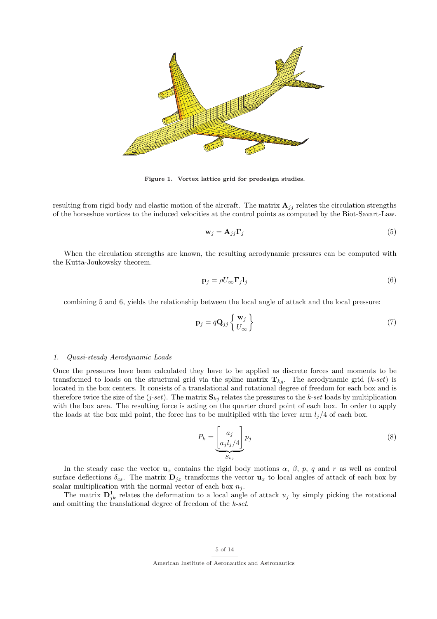

Figure 1. Vortex lattice grid for predesign studies.

resulting from rigid body and elastic motion of the aircraft. The matrix  $A_{jj}$  relates the circulation strengths of the horseshoe vortices to the induced velocities at the control points as computed by the Biot-Savart-Law.

$$
\mathbf{w}_j = \mathbf{A}_{jj} \mathbf{\Gamma}_j \tag{5}
$$

When the circulation strengths are known, the resulting aerodynamic pressures can be computed with the Kutta-Joukowsky theorem.

$$
\mathbf{p}_j = \rho U_{\infty} \mathbf{\Gamma}_j \mathbf{1}_j \tag{6}
$$

combining 5 and 6, yields the relationship between the local angle of attack and the local pressure:

$$
\mathbf{p}_{j} = \bar{q} \mathbf{Q}_{jj} \left\{ \frac{\mathbf{w}_{j}}{U_{\infty}} \right\}
$$
 (7)

#### 1. Quasi-steady Aerodynamic Loads

Once the pressures have been calculated they have to be applied as discrete forces and moments to be transformed to loads on the structural grid via the spline matrix  $\mathbf{T}_{kg}$ . The aerodynamic grid (k-set) is located in the box centers. It consists of a translational and rotational degree of freedom for each box and is therefore twice the size of the (j-set). The matrix  $S_{kj}$  relates the pressures to the k-set loads by multiplication with the box area. The resulting force is acting on the quarter chord point of each box. In order to apply the loads at the box mid point, the force has to be multiplied with the lever arm  $l_i/4$  of each box.

$$
P_k = \underbrace{\begin{bmatrix} a_j \\ a_j l_j / 4 \end{bmatrix}}_{S_{kj}} p_j \tag{8}
$$

In the steady case the vector  $\mathbf{u}_x$  contains the rigid body motions  $\alpha$ ,  $\beta$ ,  $p$ ,  $q$  and  $r$  as well as control surface deflections  $\delta_{cs}$ . The matrix  $\mathbf{D}_{jx}$  transforms the vector  $\mathbf{u}_x$  to local angles of attack of each box by scalar multiplication with the normal vector of each box  $n_j$ .

The matrix  $\mathbf{D}_{jk}^1$  relates the deformation to a local angle of attack  $u_j$  by simply picking the rotational and omitting the translational degree of freedom of the  $k\text{-}set$ .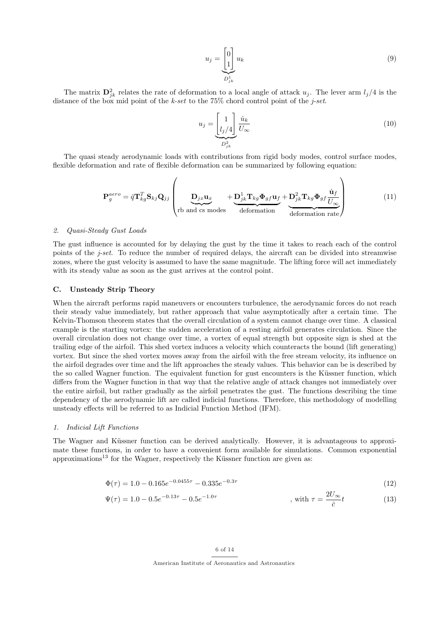$$
u_j = \underbrace{\begin{bmatrix} 0 \\ 1 \end{bmatrix}}_{D_{jk}^1} u_k \tag{9}
$$

The matrix  $\mathbf{D}_{jk}^2$  relates the rate of deformation to a local angle of attack  $u_j$ . The lever arm  $l_j/4$  is the distance of the box mid point of the k-set to the 75% chord control point of the j-set.

$$
u_j = \underbrace{\begin{bmatrix} 1\\ l_j/4 \end{bmatrix}}_{D_{jk}^2} \underbrace{\begin{bmatrix} \dot{u}_k\\ U_{\infty} \end{bmatrix}}_{(10)}
$$

The quasi steady aerodynamic loads with contributions from rigid body modes, control surface modes, flexible deformation and rate of flexible deformation can be summarized by following equation:

$$
\mathbf{P}_{g}^{aero} = \bar{q} \mathbf{T}_{kg}^{T} \mathbf{S}_{kj} \mathbf{Q}_{jj} \begin{pmatrix} \mathbf{D}_{jx} \mathbf{u}_{x} & + \mathbf{D}_{jk}^{1} \mathbf{T}_{kg} \mathbf{\Phi}_{gf} \mathbf{u}_{f} + \mathbf{D}_{jk}^{2} \mathbf{T}_{kg} \mathbf{\Phi}_{gf} \frac{\dot{\mathbf{u}}_{f}}{U_{\infty}} \\ \text{rb and cs modes} & \text{deformation} \end{pmatrix}
$$
(11)

#### 2. Quasi-Steady Gust Loads

The gust influence is accounted for by delaying the gust by the time it takes to reach each of the control points of the  $j$ -set. To reduce the number of required delays, the aircraft can be divided into streamwise zones, where the gust velocity is assumed to have the same magnitude. The lifting force will act immediately with its steady value as soon as the gust arrives at the control point.

#### C. Unsteady Strip Theory

When the aircraft performs rapid maneuvers or encounters turbulence, the aerodynamic forces do not reach their steady value immediately, but rather approach that value asymptotically after a certain time. The Kelvin-Thomson theorem states that the overall circulation of a system cannot change over time. A classical example is the starting vortex: the sudden acceleration of a resting airfoil generates circulation. Since the overall circulation does not change over time, a vortex of equal strength but opposite sign is shed at the trailing edge of the airfoil. This shed vortex induces a velocity which counteracts the bound (lift generating) vortex. But since the shed vortex moves away from the airfoil with the free stream velocity, its influence on the airfoil degrades over time and the lift approaches the steady values. This behavior can be is described by the so called Wagner function. The equivalent function for gust encounters is the Küssner function, which differs from the Wagner function in that way that the relative angle of attack changes not immediately over the entire airfoil, but rather gradually as the airfoil penetrates the gust. The functions describing the time dependency of the aerodynamic lift are called indicial functions. Therefore, this methodology of modelling unsteady effects will be referred to as Indicial Function Method (IFM).

#### 1. Indicial Lift Functions

The Wagner and Küssner function can be derived analytically. However, it is advantageous to approximate these functions, in order to have a convenient form available for simulations. Common exponential approximations<sup>13</sup> for the Wagner, respectively the Küssner function are given as:

$$
\Phi(\tau) = 1.0 - 0.165e^{-0.0455\tau} - 0.335e^{-0.3\tau} \tag{12}
$$

$$
\Psi(\tau) = 1.0 - 0.5e^{-0.13\tau} - 0.5e^{-1.0\tau}
$$
, with  $\tau = \frac{2U_{\infty}}{\bar{c}}t$  (13)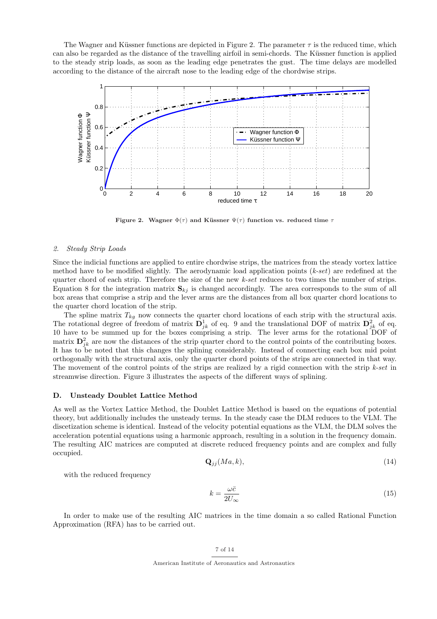The Wagner and Küssner functions are depicted in Figure 2. The parameter  $\tau$  is the reduced time, which can also be regarded as the distance of the travelling airfoil in semi-chords. The Küssner function is applied to the steady strip loads, as soon as the leading edge penetrates the gust. The time delays are modelled according to the distance of the aircraft nose to the leading edge of the chordwise strips.



Figure 2. Wagner  $\Phi(\tau)$  and Küssner  $\Psi(\tau)$  function vs. reduced time  $\tau$ 

#### 2. Steady Strip Loads

Since the indicial functions are applied to entire chordwise strips, the matrices from the steady vortex lattice method have to be modified slightly. The aerodynamic load application points  $(k-set)$  are redefined at the quarter chord of each strip. Therefore the size of the new k-set reduces to two times the number of strips. Equation 8 for the integration matrix  $S_{ki}$  is changed accordingly. The area corresponds to the sum of all box areas that comprise a strip and the lever arms are the distances from all box quarter chord locations to the quarter chord location of the strip.

The spline matrix  $T_{kq}$  now connects the quarter chord locations of each strip with the structural axis. The rotational degree of freedom of matrix  $\mathbf{D}_{jk}^1$  of eq. 9 and the translational DOF of matrix  $\mathbf{D}_{jk}^2$  of eq. 10 have to be summed up for the boxes comprising a strip. The lever arms for the rotational  $\overrightarrow{DOF}$  of matrix  $\mathbf{D}_{jk}^2$  are now the distances of the strip quarter chord to the control points of the contributing boxes. It has to be noted that this changes the splining considerably. Instead of connecting each box mid point orthogonally with the structural axis, only the quarter chord points of the strips are connected in that way. The movement of the control points of the strips are realized by a rigid connection with the strip  $k\text{-}set$  in streamwise direction. Figure 3 illustrates the aspects of the different ways of splining.

#### D. Unsteady Doublet Lattice Method

As well as the Vortex Lattice Method, the Doublet Lattice Method is based on the equations of potential theory, but additionally includes the unsteady terms. In the steady case the DLM reduces to the VLM. The discetization scheme is identical. Instead of the velocity potential equations as the VLM, the DLM solves the acceleration potential equations using a harmonic approach, resulting in a solution in the frequency domain. The resulting AIC matrices are computed at discrete reduced frequency points and are complex and fully occupied.

$$
\mathbf{Q}_{jj}(Ma,k),\tag{14}
$$

with the reduced frequency

$$
k = \frac{\omega \bar{c}}{2U_{\infty}} \tag{15}
$$

In order to make use of the resulting AIC matrices in the time domain a so called Rational Function Approximation (RFA) has to be carried out.

7 of 14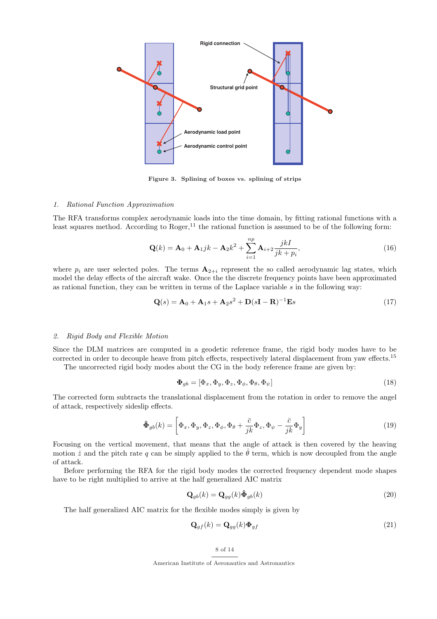

Figure 3. Splining of boxes vs. splining of strips

#### 1. Rational Function Approximation

The RFA transforms complex aerodynamic loads into the time domain, by fitting rational functions with a least squares method. According to Roger,<sup>11</sup> the rational function is assumed to be of the following form:

$$
\mathbf{Q}(k) = \mathbf{A}_0 + \mathbf{A}_1 jk - \mathbf{A}_2 k^2 + \sum_{i=1}^{np} \mathbf{A}_{i+2} \frac{jkI}{jk + p_i},
$$
\n(16)

where  $p_i$  are user selected poles. The terms  $\mathbf{A}_{2+i}$  represent the so called aerodynamic lag states, which model the delay effects of the aircraft wake. Once the the discrete frequency points have been approximated as rational function, they can be written in terms of the Laplace variable  $s$  in the following way:

$$
\mathbf{Q}(s) = \mathbf{A}_0 + \mathbf{A}_1 s + \mathbf{A}_2 s^2 + \mathbf{D}(s\mathbf{I} - \mathbf{R})^{-1} \mathbf{E} s \tag{17}
$$

#### 2. Rigid Body and Flexible Motion

Since the DLM matrices are computed in a geodetic reference frame, the rigid body modes have to be corrected in order to decouple heave from pitch effects, respectively lateral displacement from yaw effects.<sup>15</sup> The uncorrected rigid body modes about the CG in the body reference frame are given by:

$$
\mathbf{\Phi}_{gb} = [\Phi_x, \Phi_y, \Phi_z, \Phi_\phi, \Phi_\theta, \Phi_\psi] \tag{18}
$$

The corrected form subtracts the translational displacement from the rotation in order to remove the angel of attack, respectively sideslip effects.

$$
\hat{\Phi}_{gb}(k) = \left[\Phi_x, \Phi_y, \Phi_z, \Phi_\phi, \Phi_\theta + \frac{\bar{c}}{jk}\Phi_z, \Phi_\psi - \frac{\bar{c}}{jk}\Phi_y\right]
$$
\n(19)

Focusing on the vertical movement, that means that the angle of attack is then covered by the heaving motion  $\dot{z}$  and the pitch rate q can be simply applied to the  $\theta$  term, which is now decoupled from the angle of attack.

Before performing the RFA for the rigid body modes the corrected frequency dependent mode shapes have to be right multiplied to arrive at the half generalized AIC matrix

$$
\mathbf{Q}_{gb}(k) = \mathbf{Q}_{gg}(k)\hat{\mathbf{\Phi}}_{gb}(k)
$$
\n(20)

The half generalized AIC matrix for the flexible modes simply is given by

$$
\mathbf{Q}_{gf}(k) = \mathbf{Q}_{gg}(k)\mathbf{\Phi}_{gf} \tag{21}
$$

8 of 14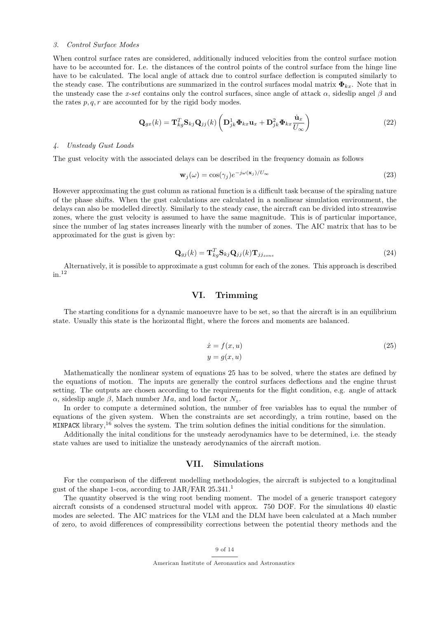#### 3. Control Surface Modes

When control surface rates are considered, additionally induced velocities from the control surface motion have to be accounted for. I.e. the distances of the control points of the control surface from the hinge line have to be calculated. The local angle of attack due to control surface deflection is computed similarly to the steady case. The contributions are summarized in the control surfaces modal matrix  $\Phi_{kx}$ . Note that in the unsteady case the x-set contains only the control surfaces, since angle of attack  $\alpha$ , sideslip angel  $\beta$  and the rates  $p, q, r$  are accounted for by the rigid body modes.

$$
\mathbf{Q}_{gx}(k) = \mathbf{T}_{kg}^T \mathbf{S}_{kj} \mathbf{Q}_{jj}(k) \left( \mathbf{D}_{jk}^1 \mathbf{\Phi}_{kx} \mathbf{u}_x + \mathbf{D}_{jk}^2 \mathbf{\Phi}_{kx} \frac{\dot{\mathbf{u}}_x}{U_{\infty}} \right)
$$
(22)

#### 4. Unsteady Gust Loads

The gust velocity with the associated delays can be described in the frequency domain as follows

$$
\mathbf{w}_j(\omega) = \cos(\gamma_j) e^{-j\omega(\mathbf{x}_j)/U_{\infty}} \tag{23}
$$

However approximating the gust column as rational function is a difficult task because of the spiraling nature of the phase shifts. When the gust calculations are calculated in a nonlinear simulation environment, the delays can also be modelled directly. Similarly to the steady case, the aircraft can be divided into streamwise zones, where the gust velocity is assumed to have the same magnitude. This is of particular importance, since the number of lag states increases linearly with the number of zones. The AIC matrix that has to be approximated for the gust is given by:

$$
\mathbf{Q}_{gj}(k) = \mathbf{T}_{kg}^T \mathbf{S}_{kj} \mathbf{Q}_{jj}(k) \mathbf{T}_{jj_{zone}} \tag{24}
$$

Alternatively, it is possible to approximate a gust column for each of the zones. This approach is described in.<sup>12</sup>

# VI. Trimming

The starting conditions for a dynamic manoeuvre have to be set, so that the aircraft is in an equilibrium state. Usually this state is the horizontal flight, where the forces and moments are balanced.

$$
\begin{aligned}\n\dot{x} &= f(x, u) \\
y &= g(x, u)\n\end{aligned} \tag{25}
$$

Mathematically the nonlinear system of equations 25 has to be solved, where the states are defined by the equations of motion. The inputs are generally the control surfaces deflections and the engine thrust setting. The outputs are chosen according to the requirements for the flight condition, e.g. angle of attack α, sideslip angle β, Mach number Ma, and load factor  $N_z$ .

In order to compute a determined solution, the number of free variables has to equal the number of equations of the given system. When the constraints are set accordingly, a trim routine, based on the MINPACK library,<sup>16</sup> solves the system. The trim solution defines the initial conditions for the simulation.

Additionally the inital conditions for the unsteady aerodynamics have to be determined, i.e. the steady state values are used to initialize the unsteady aerodynamics of the aircraft motion.

# VII. Simulations

For the comparison of the different modelling methodologies, the aircraft is subjected to a longitudinal gust of the shape 1-cos, according to JAR/FAR 25.341.<sup>1</sup>

The quantity observed is the wing root bending moment. The model of a generic transport category aircraft consists of a condensed structural model with approx. 750 DOF. For the simulations 40 elastic modes are selected. The AIC matrices for the VLM and the DLM have been calculated at a Mach number of zero, to avoid differences of compressibility corrections between the potential theory methods and the

9 of 14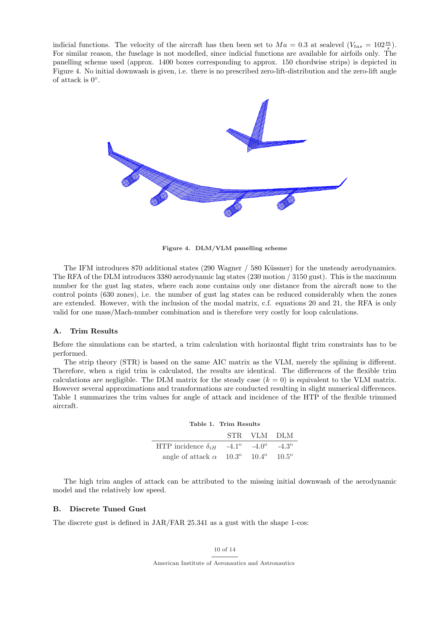indicial functions. The velocity of the aircraft has then been set to  $Ma = 0.3$  at sealevel  $(V_{tas} = 102 \frac{m}{s})$ . For similar reason, the fuselage is not modelled, since indicial functions are available for airfoils only. The panelling scheme used (approx. 1400 boxes corresponding to approx. 150 chordwise strips) is depicted in Figure 4. No initial downwash is given, i.e. there is no prescribed zero-lift-distribution and the zero-lift angle of attack is  $0^\circ$ .



Figure 4. DLM/VLM panelling scheme

The IFM introduces 870 additional states (290 Wagner / 580 Küssner) for the unsteady aerodynamics. The RFA of the DLM introduces 3380 aerodynamic lag states (230 motion / 3150 gust). This is the maximum number for the gust lag states, where each zone contains only one distance from the aircraft nose to the control points (630 zones), i.e. the number of gust lag states can be reduced considerably when the zones are extended. However, with the inclusion of the modal matrix, c.f. equations 20 and 21, the RFA is only valid for one mass/Mach-number combination and is therefore very costly for loop calculations.

#### A. Trim Results

Before the simulations can be started, a trim calculation with horizontal flight trim constraints has to be performed.

The strip theory (STR) is based on the same AIC matrix as the VLM, merely the splining is different. Therefore, when a rigid trim is calculated, the results are identical. The differences of the flexible trim calculations are negligible. The DLM matrix for the steady case  $(k = 0)$  is equivalent to the VLM matrix. However several approximations and transformations are conducted resulting in slight numerical differences. Table 1 summarizes the trim values for angle of attack and incidence of the HTP of the flexible trimmed aircraft.

|                                               | Table 1. Trim Results |             |  |  |
|-----------------------------------------------|-----------------------|-------------|--|--|
|                                               |                       | STR VLM DLM |  |  |
| HTP incidence $\delta_{iH}$ -4.1° -4.0° -4.3° |                       |             |  |  |
| angle of attack $\alpha$ 10.3° 10.4° 10.5°    |                       |             |  |  |

The high trim angles of attack can be attributed to the missing initial downwash of the aerodynamic model and the relatively low speed.

#### B. Discrete Tuned Gust

The discrete gust is defined in JAR/FAR 25.341 as a gust with the shape 1-cos:

10 of 14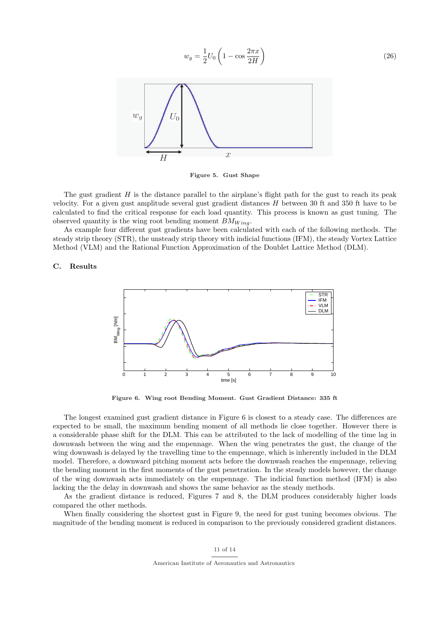$$
w_g = \frac{1}{2}U_0 \left(1 - \cos \frac{2\pi x}{2H}\right)
$$
\n(26)



Figure 5. Gust Shape

The gust gradient  $H$  is the distance parallel to the airplane's flight path for the gust to reach its peak velocity. For a given gust amplitude several gust gradient distances H between 30 ft and 350 ft have to be calculated to find the critical response for each load quantity. This process is known as gust tuning. The observed quantity is the wing root bending moment  $BM_{Wing}$ .

As example four different gust gradients have been calculated with each of the following methods. The steady strip theory (STR), the unsteady strip theory with indicial functions (IFM), the steady Vortex Lattice Method (VLM) and the Rational Function Approximation of the Doublet Lattice Method (DLM).

# C. Results



Figure 6. Wing root Bending Moment. Gust Gradient Distance: 335 ft

The longest examined gust gradient distance in Figure 6 is closest to a steady case. The differences are expected to be small, the maximum bending moment of all methods lie close together. However there is a considerable phase shift for the DLM. This can be attributed to the lack of modelling of the time lag in downwash between the wing and the empennage. When the wing penetrates the gust, the change of the wing downwash is delayed by the travelling time to the empennage, which is inherently included in the DLM model. Therefore, a downward pitching moment acts before the downwash reaches the empennage, relieving the bending moment in the first moments of the gust penetration. In the steady models however, the change of the wing downwash acts immediately on the empennage. The indicial function method (IFM) is also lacking the the delay in downwash and shows the same behavior as the steady methods.

As the gradient distance is reduced, Figures 7 and 8, the DLM produces considerably higher loads compared the other methods.

When finally considering the shortest gust in Figure 9, the need for gust tuning becomes obvious. The magnitude of the bending moment is reduced in comparison to the previously considered gradient distances.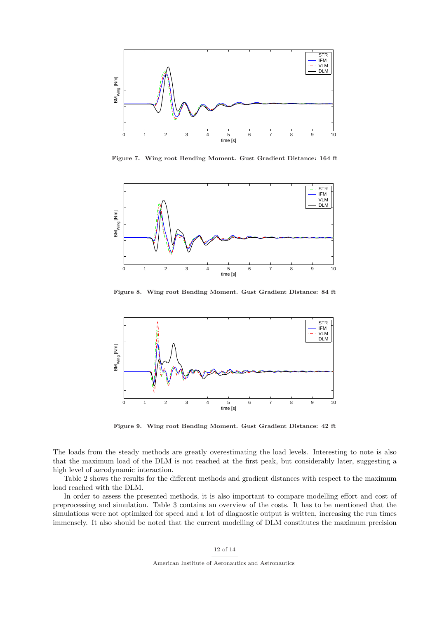

Figure 7. Wing root Bending Moment. Gust Gradient Distance: 164 ft



Figure 8. Wing root Bending Moment. Gust Gradient Distance: 84 ft



Figure 9. Wing root Bending Moment. Gust Gradient Distance: 42 ft

The loads from the steady methods are greatly overestimating the load levels. Interesting to note is also that the maximum load of the DLM is not reached at the first peak, but considerably later, suggesting a high level of aerodynamic interaction.

Table 2 shows the results for the different methods and gradient distances with respect to the maximum load reached with the DLM.

In order to assess the presented methods, it is also important to compare modelling effort and cost of preprocessing and simulation. Table 3 contains an overview of the costs. It has to be mentioned that the simulations were not optimized for speed and a lot of diagnostic output is written, increasing the run times immensely. It also should be noted that the current modelling of DLM constitutes the maximum precision

12 of 14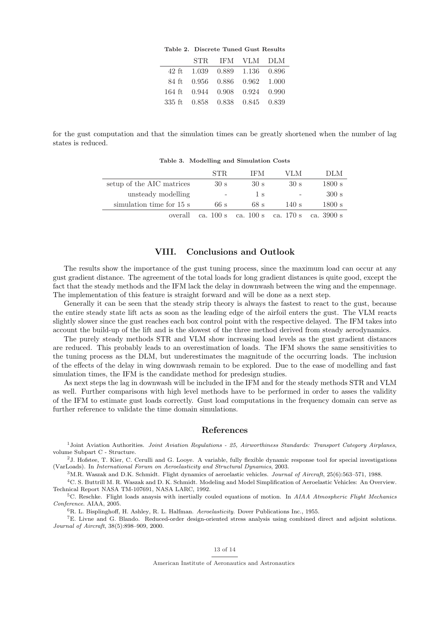| Table 2. Discrete Tuned Gust Results |  |                                |  |  |
|--------------------------------------|--|--------------------------------|--|--|
|                                      |  | STR IFM VLM DLM                |  |  |
|                                      |  | 42 ft 1.039 0.889 1.136 0.896  |  |  |
|                                      |  | 84 ft 0.956 0.886 0.962 1.000  |  |  |
|                                      |  | 164 ft 0.944 0.908 0.924 0.990 |  |  |
|                                      |  | 335 ft 0.858 0.838 0.845 0.839 |  |  |

for the gust computation and that the simulation times can be greatly shortened when the number of lag states is reduced.

|                           | STR.   | IFM                                 | V LM                     | DLM        |
|---------------------------|--------|-------------------------------------|--------------------------|------------|
| setup of the AIC matrices | 30 s   | 30 <sub>s</sub>                     | 30 <sub>s</sub>          | 1800 s     |
| unsteady modelling        | $\sim$ | 1 s                                 | $\overline{\phantom{a}}$ | 300 s      |
| simulation time for 15 s  | 66 s   | 68 s                                | 140 s                    | 1800 s     |
| overall                   |        | ca. $100 s$ ca. $100 s$ ca. $170 s$ |                          | ca. 3900 s |

Table 3. Modelling and Simulation Costs

# VIII. Conclusions and Outlook

The results show the importance of the gust tuning process, since the maximum load can occur at any gust gradient distance. The agreement of the total loads for long gradient distances is quite good, except the fact that the steady methods and the IFM lack the delay in downwash between the wing and the empennage. The implementation of this feature is straight forward and will be done as a next step.

Generally it can be seen that the steady strip theory is always the fastest to react to the gust, because the entire steady state lift acts as soon as the leading edge of the airfoil enters the gust. The VLM reacts slightly slower since the gust reaches each box control point with the respective delayed. The IFM takes into account the build-up of the lift and is the slowest of the three method derived from steady aerodynamics.

The purely steady methods STR and VLM show increasing load levels as the gust gradient distances are reduced. This probably leads to an overestimation of loads. The IFM shows the same sensitivities to the tuning process as the DLM, but underestimates the magnitude of the occurring loads. The inclusion of the effects of the delay in wing downwash remain to be explored. Due to the ease of modelling and fast simulation times, the IFM is the candidate method for predesign studies.

As next steps the lag in downwash will be included in the IFM and for the steady methods STR and VLM as well. Further comparisons with high level methods have to be performed in order to asses the validity of the IFM to estimate gust loads correctly. Gust load computations in the frequency domain can serve as further reference to validate the time domain simulations.

# References

<sup>1</sup>Joint Aviation Authorities. Joint Aviation Regulations - 25, Airworthiness Standards: Transport Category Airplanes, volume Subpart C - Structure.

<sup>2</sup>J. Hofstee, T. Kier, C. Cerulli and G. Looye. A variable, fully flexible dynamic response tool for special investigations (VarLoads). In International Forum on Aeroelasticity and Structural Dynamics, 2003.

 $3$ M.R. Waszak and D.K. Schmidt. Flight dynamics of aeroelastic vehicles. *Journal of Aircraft*, 25(6):563–571, 1988.

<sup>4</sup>C. S. Buttrill M. R. Waszak and D. K. Schmidt. Modeling and Model Simplification of Aeroelastic Vehicles: An Overview. Technical Report NASA TM-107691, NASA LARC, 1992.

 $5C.$  Reschke. Flight loads anaysis with inertially couled equations of motion. In AIAA Atmospheric Flight Mechanics Conference. AIAA, 2005.

 ${}^6R$ . L. Bisplinghoff, H. Ashley, R. L. Halfman. Aeroelasticity. Dover Publications Inc., 1955.

<sup>7</sup>E. Livne and G. Blando. Reduced-order design-oriented stress analysis using combined direct and adjoint solutions. Journal of Aircraft, 38(5):898–909, 2000.

# 13 of 14